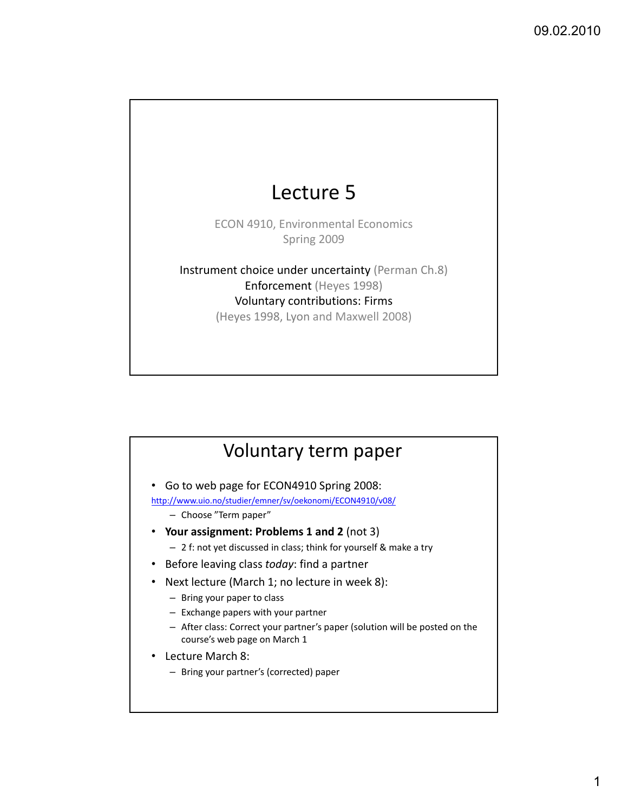# Lecture 5

ECON 4910, Environmental Economics Spring 2009

Instrument choice under uncertainty (Perman Ch.8) Enforcement (Heyes 1998) Voluntary contributions: Firms (Heyes 1998, Lyon and Maxwell 2008)

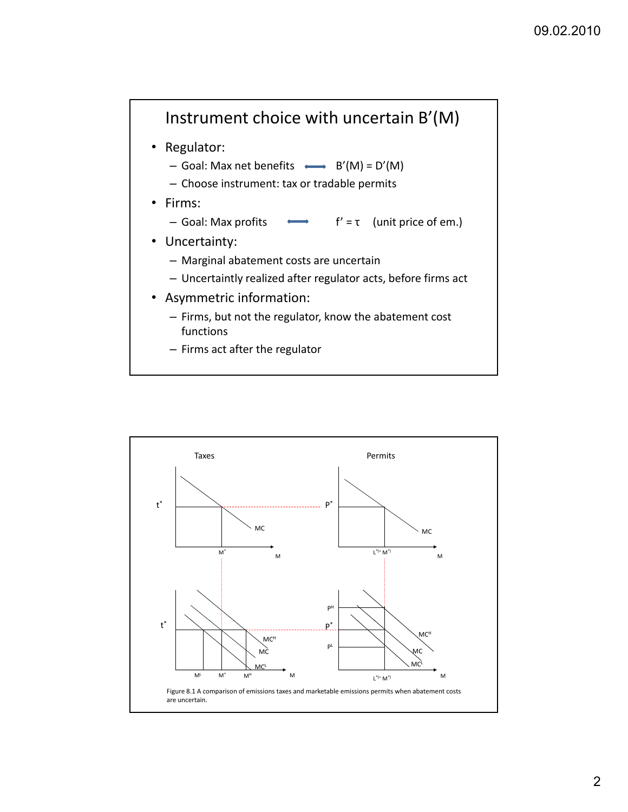

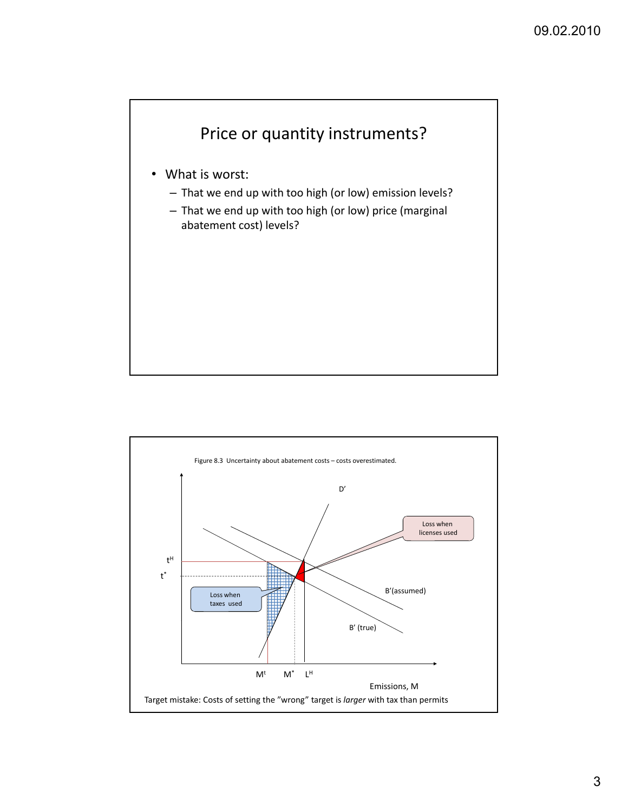

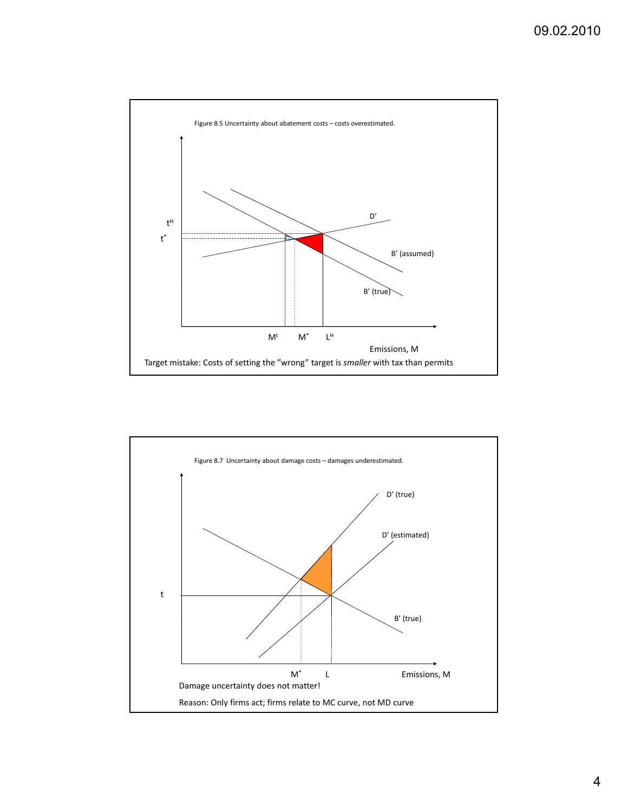

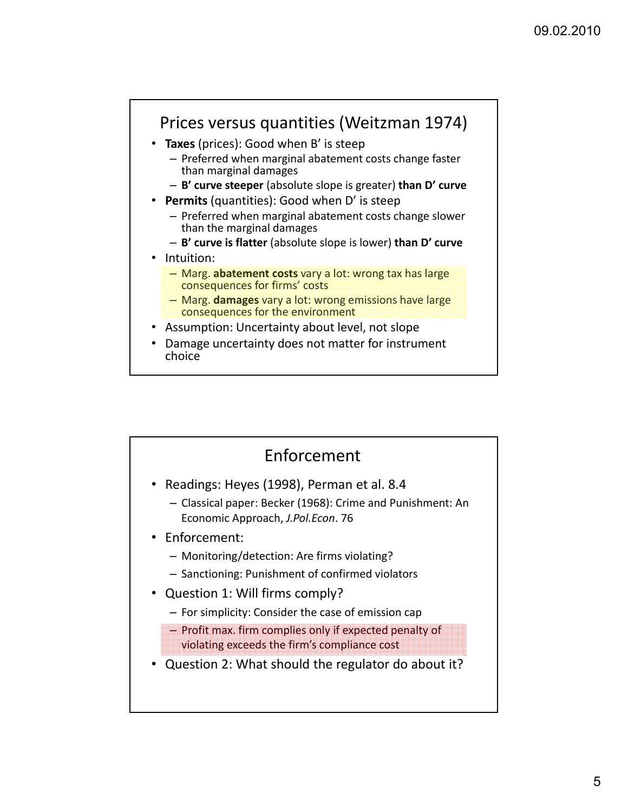

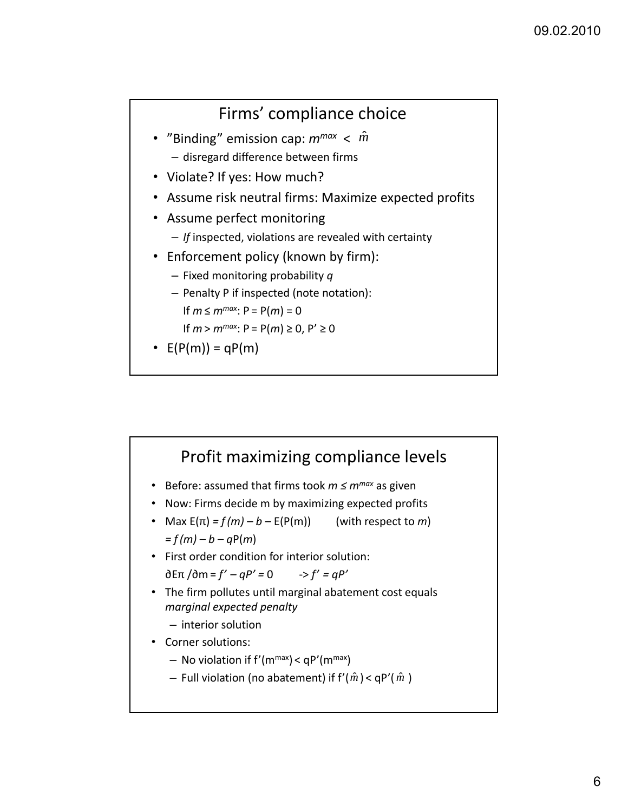#### Firms' compliance choice

- "Binding" emission cap:  $m^{max} < \hat{m}$ – disregard difference between firms
- Violate? If yes: How much?
- Assume risk neutral firms: Maximize expected profits
- Assume perfect monitoring
	- *If* inspected, violations are revealed with certainty
- Enforcement policy (known by firm):
	- Fixed monitoring probability *q*
	- Penalty P if inspected (note notation): If *m* ≤  $m^{max}$ : P = P(*m*) = 0

If *m* >  $m^{max}$ : P = P(*m*) ≥ 0, P' ≥ 0

•  $E(P(m)) = qP(m)$ 

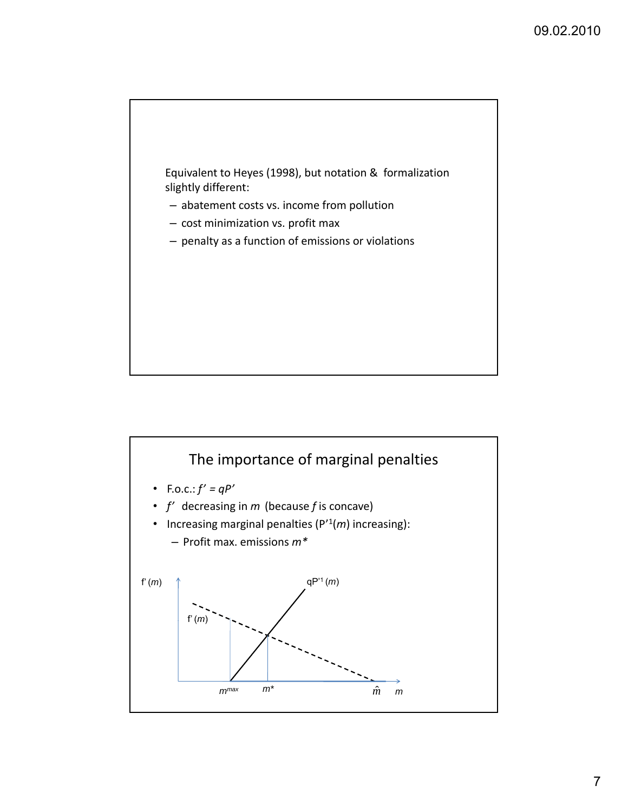

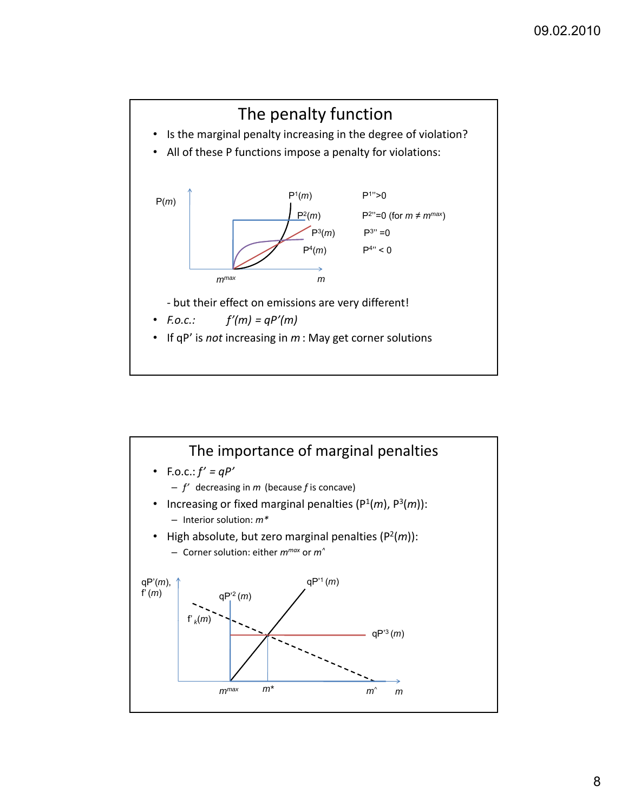

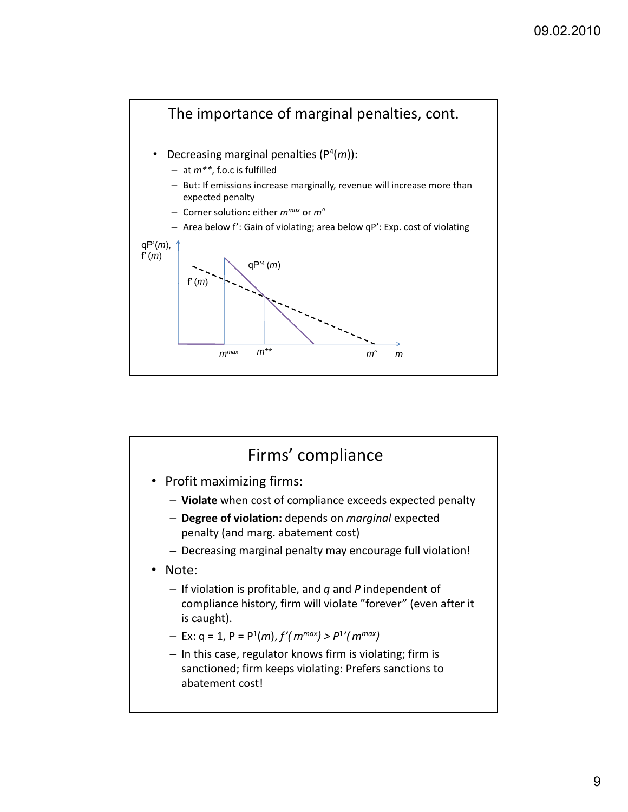

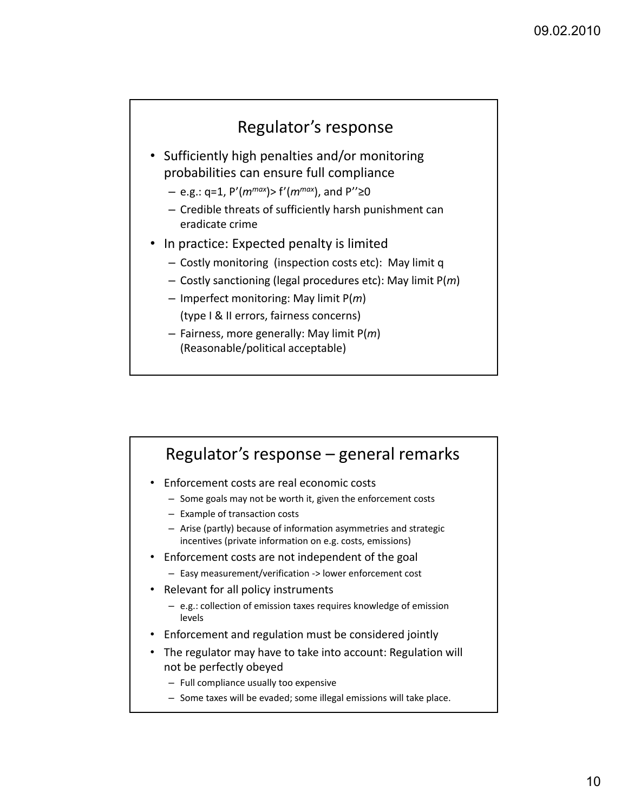

- Sufficiently high penalties and/or monitoring probabilities can ensure full compliance
	- $-$  e.g.: q=1, P'( $m^{max}$ )> f'( $m^{max}$ ), and P''≥0
	- Credible threats of sufficiently harsh punishment can eradicate crime
- In practice: Expected penalty is limited
	- Costly monitoring (inspection costs etc): May limit q
	- Costly sanctioning (legal procedures etc): May limit P(*m*)
	- Imperfect monitoring: May limit P(*m*) (type I & II errors, fairness concerns)
	- Fairness, more generally: May limit P(*m*) (Reasonable/political acceptable)

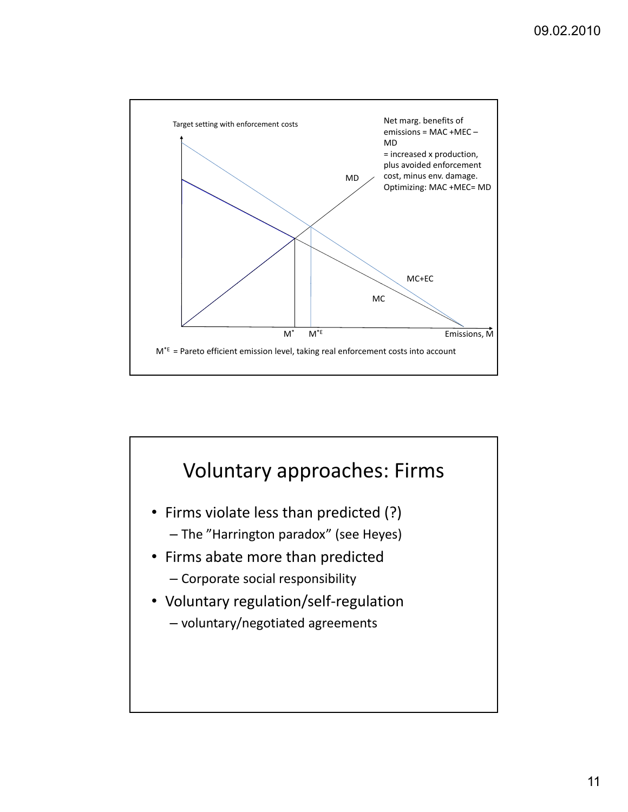

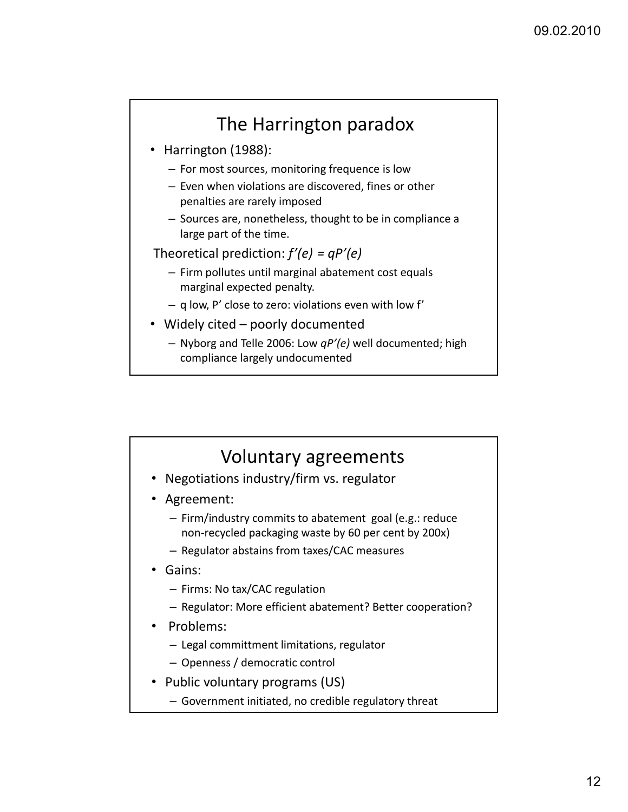### The Harrington paradox

- Harrington (1988):
	- For most sources, monitoring frequence is low
	- Even when violations are discovered, fines or other penalties are rarely imposed
	- Sources are, nonetheless, thought to be in compliance a large part of the time.
- Theoretical prediction: *f'(e) = qP'(e)*
	- Firm pollutes until marginal abatement cost equals marginal expected penalty.
	- q low, P' close to zero: violations even with low f'
- Widely cited poorly documented
	- Nyborg and Telle 2006: Low *qP'(e)* well documented; high compliance largely undocumented

#### Voluntary agreements

- Negotiations industry/firm vs. regulator
- Agreement:
	- Firm/industry commits to abatement goal (e.g.: reduce non‐recycled packaging waste by 60 per cent by 200x)
	- Regulator abstains from taxes/CAC measures
- Gains:
	- Firms: No tax/CAC regulation
	- Regulator: More efficient abatement? Better cooperation?
- Problems:
	- Legal committment limitations, regulator
	- Openness / democratic control
- Public voluntary programs (US)
	- Government initiated, no credible regulatory threat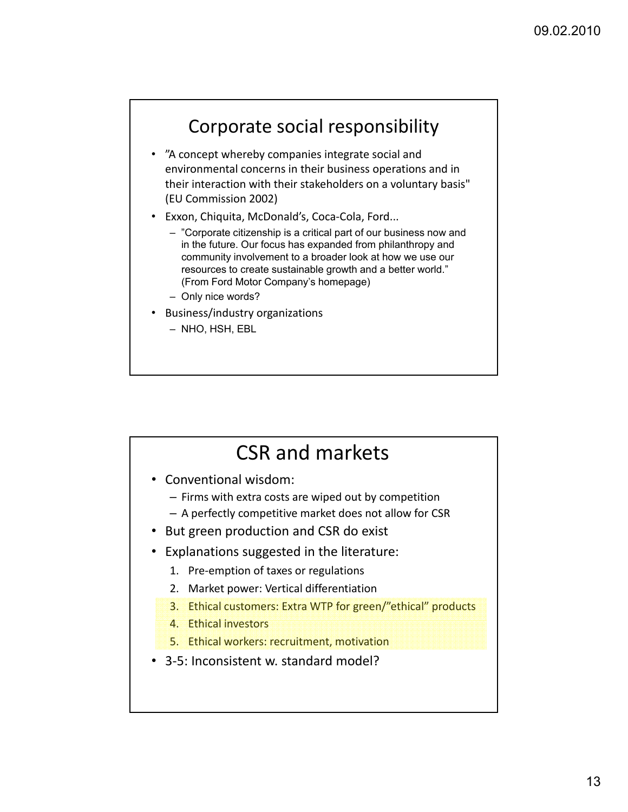### Corporate social responsibility

- "A concept whereby companies integrate social and environmental concerns in their business operations and in their interaction with their stakeholders on a voluntary basis" (EU Commission 2002)
- Exxon, Chiquita, McDonald's, Coca‐Cola, Ford...
	- "Corporate citizenship is a critical part of our business now and in the future. Our focus has expanded from philanthropy and community involvement to a broader look at how we use our resources to create sustainable growth and a better world." (From Ford Motor Company's homepage)
	- Only nice words?
- Business/industry organizations
	- NHO, HSH, EBL

## CSR and markets

- Conventional wisdom:
	- Firms with extra costs are wiped out by competition
	- A perfectly competitive market does not allow for CSR
- But green production and CSR do exist
- Explanations suggested in the literature:
	- 1. Pre‐emption of taxes or regulations
	- 2. Market power: Vertical differentiation
	- 3. Ethical customers: Extra WTP for green/"ethical" products
	- 4. Ethical investors
	- 5. Ethical workers: recruitment, motivation
- 3‐5: Inconsistent w. standard model?